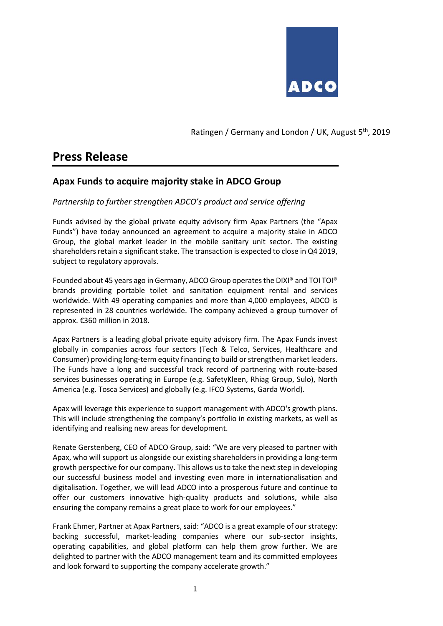

Ratingen / Germany and London / UK, August 5<sup>th</sup>, 2019

# **Press Release**

# **Apax Funds to acquire majority stake in ADCO Group**

# *Partnership to further strengthen ADCO's product and service offering*

Funds advised by the global private equity advisory firm Apax Partners (the "Apax Funds") have today announced an agreement to acquire a majority stake in ADCO Group, the global market leader in the mobile sanitary unit sector. The existing shareholders retain a significant stake. The transaction is expected to close in Q4 2019, subject to regulatory approvals.

Founded about 45 years ago in Germany, ADCO Group operates the DIXI® and TOI TOI® brands providing portable toilet and sanitation equipment rental and services worldwide. With 49 operating companies and more than 4,000 employees, ADCO is represented in 28 countries worldwide. The company achieved a group turnover of approx. €360 million in 2018.

Apax Partners is a leading global private equity advisory firm. The Apax Funds invest globally in companies across four sectors (Tech & Telco, Services, Healthcare and Consumer) providing long-term equity financing to build or strengthen market leaders. The Funds have a long and successful track record of partnering with route-based services businesses operating in Europe (e.g. SafetyKleen, Rhiag Group, Sulo), North America (e.g. Tosca Services) and globally (e.g. IFCO Systems, Garda World).

Apax will leverage this experience to support management with ADCO's growth plans. This will include strengthening the company's portfolio in existing markets, as well as identifying and realising new areas for development.

Renate Gerstenberg, CEO of ADCO Group, said: "We are very pleased to partner with Apax, who will support us alongside our existing shareholders in providing a long-term growth perspective for our company. This allows us to take the next step in developing our successful business model and investing even more in internationalisation and digitalisation. Together, we will lead ADCO into a prosperous future and continue to offer our customers innovative high-quality products and solutions, while also ensuring the company remains a great place to work for our employees."

Frank Ehmer, Partner at Apax Partners, said: "ADCO is a great example of our strategy: backing successful, market-leading companies where our sub-sector insights, operating capabilities, and global platform can help them grow further. We are delighted to partner with the ADCO management team and its committed employees and look forward to supporting the company accelerate growth."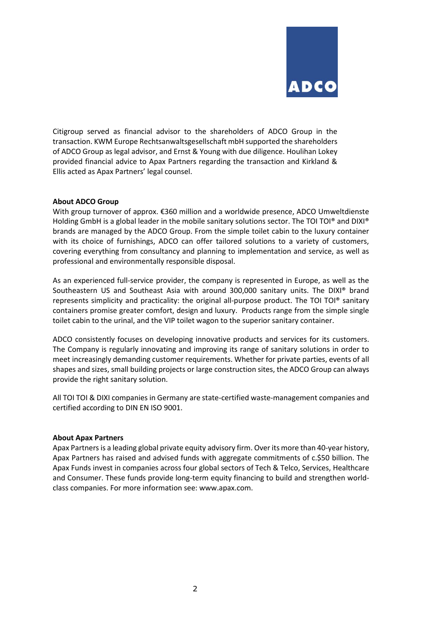

Citigroup served as financial advisor to the shareholders of ADCO Group in the transaction. KWM Europe Rechtsanwaltsgesellschaft mbH supported the shareholders of ADCO Group as legal advisor, and Ernst & Young with due diligence. Houlihan Lokey provided financial advice to Apax Partners regarding the transaction and Kirkland & Ellis acted as Apax Partners' legal counsel.

## **About ADCO Group**

With group turnover of approx. €360 million and a worldwide presence, ADCO Umweltdienste Holding GmbH is a global leader in the mobile sanitary solutions sector. The TOI TOI® and DIXI® brands are managed by the ADCO Group. From the simple toilet cabin to the luxury container with its choice of furnishings, ADCO can offer tailored solutions to a variety of customers, covering everything from consultancy and planning to implementation and service, as well as professional and environmentally responsible disposal.

As an experienced full-service provider, the company is represented in Europe, as well as the Southeastern US and Southeast Asia with around 300,000 sanitary units. The DIXI® brand represents simplicity and practicality: the original all-purpose product. The TOI TOI® sanitary containers promise greater comfort, design and luxury. Products range from the simple single toilet cabin to the urinal, and the VIP toilet wagon to the superior sanitary container.

ADCO consistently focuses on developing innovative products and services for its customers. The Company is regularly innovating and improving its range of sanitary solutions in order to meet increasingly demanding customer requirements. Whether for private parties, events of all shapes and sizes, small building projects or large construction sites, the ADCO Group can always provide the right sanitary solution.

All TOI TOI & DIXI companies in Germany are state-certified waste-management companies and certified according to DIN EN ISO 9001.

#### **About Apax Partners**

Apax Partners is a leading global private equity advisory firm. Over its more than 40-year history, Apax Partners has raised and advised funds with aggregate commitments of c.\$50 billion. The Apax Funds invest in companies across four global sectors of Tech & Telco, Services, Healthcare and Consumer. These funds provide long-term equity financing to build and strengthen worldclass companies. For more information see: www.apax.com.